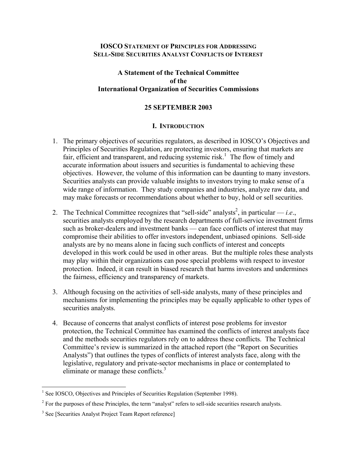#### **IOSCO STATEMENT OF PRINCIPLES FOR ADDRESSING SELL-SIDE SECURITIES ANALYST CONFLICTS OF INTEREST**

### **A Statement of the Technical Committee of the International Organization of Securities Commissions**

#### **25 SEPTEMBER 2003**

#### **I. INTRODUCTION**

- 1. The primary objectives of securities regulators, as described in IOSCO's Objectives and Principles of Securities Regulation, are protecting investors, ensuring that markets are fair, efficient and transparent, and reducing systemic risk.<sup>1</sup> The flow of timely and accurate information about issuers and securities is fundamental to achieving these objectives. However, the volume of this information can be daunting to many investors. Securities analysts can provide valuable insights to investors trying to make sense of a wide range of information. They study companies and industries, analyze raw data, and may make forecasts or recommendations about whether to buy, hold or sell securities.
- 2. The Technical Committee recognizes that "sell-side" analysts<sup>2</sup>, in particular  $-i.e.,$ securities analysts employed by the research departments of full-service investment firms such as broker-dealers and investment banks — can face conflicts of interest that may compromise their abilities to offer investors independent, unbiased opinions. Sell-side analysts are by no means alone in facing such conflicts of interest and concepts developed in this work could be used in other areas. But the multiple roles these analysts may play within their organizations can pose special problems with respect to investor protection. Indeed, it can result in biased research that harms investors and undermines the fairness, efficiency and transparency of markets.
- 3. Although focusing on the activities of sell-side analysts, many of these principles and mechanisms for implementing the principles may be equally applicable to other types of securities analysts.
- 4. Because of concerns that analyst conflicts of interest pose problems for investor protection, the Technical Committee has examined the conflicts of interest analysts face and the methods securities regulators rely on to address these conflicts. The Technical Committee's review is summarized in the attached report (the "Report on Securities Analysts") that outlines the types of conflicts of interest analysts face, along with the legislative, regulatory and private-sector mechanisms in place or contemplated to eliminate or manage these conflicts.<sup>3</sup>

<sup>&</sup>lt;sup>1</sup> See IOSCO, Objectives and Principles of Securities Regulation (September 1998).

 $2^2$  For the purposes of these Principles, the term "analyst" refers to sell-side securities research analysts.

<sup>&</sup>lt;sup>3</sup> See [Securities Analyst Project Team Report reference]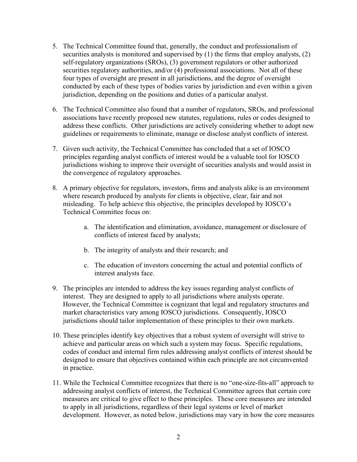- 5. The Technical Committee found that, generally, the conduct and professionalism of securities analysts is monitored and supervised by (1) the firms that employ analysts, (2) self-regulatory organizations (SROs), (3) government regulators or other authorized securities regulatory authorities, and/or (4) professional associations. Not all of these four types of oversight are present in all jurisdictions, and the degree of oversight conducted by each of these types of bodies varies by jurisdiction and even within a given jurisdiction, depending on the positions and duties of a particular analyst.
- 6. The Technical Committee also found that a number of regulators, SROs, and professional associations have recently proposed new statutes, regulations, rules or codes designed to address these conflicts. Other jurisdictions are actively considering whether to adopt new guidelines or requirements to eliminate, manage or disclose analyst conflicts of interest.
- 7. Given such activity, the Technical Committee has concluded that a set of IOSCO principles regarding analyst conflicts of interest would be a valuable tool for IOSCO jurisdictions wishing to improve their oversight of securities analysts and would assist in the convergence of regulatory approaches.
- 8. A primary objective for regulators, investors, firms and analysts alike is an environment where research produced by analysts for clients is objective, clear, fair and not misleading. To help achieve this objective, the principles developed by IOSCO's Technical Committee focus on:
	- a. The identification and elimination, avoidance, management or disclosure of conflicts of interest faced by analysts;
	- b. The integrity of analysts and their research; and
	- c. The education of investors concerning the actual and potential conflicts of interest analysts face.
- 9. The principles are intended to address the key issues regarding analyst conflicts of interest. They are designed to apply to all jurisdictions where analysts operate. However, the Technical Committee is cognizant that legal and regulatory structures and market characteristics vary among IOSCO jurisdictions. Consequently, IOSCO jurisdictions should tailor implementation of these principles to their own markets.
- 10. These principles identify key objectives that a robust system of oversight will strive to achieve and particular areas on which such a system may focus. Specific regulations, codes of conduct and internal firm rules addressing analyst conflicts of interest should be designed to ensure that objectives contained within each principle are not circumvented in practice.
- 11. While the Technical Committee recognizes that there is no "one-size-fits-all" approach to addressing analyst conflicts of interest, the Technical Committee agrees that certain core measures are critical to give effect to these principles. These core measures are intended to apply in all jurisdictions, regardless of their legal systems or level of market development. However, as noted below, jurisdictions may vary in how the core measures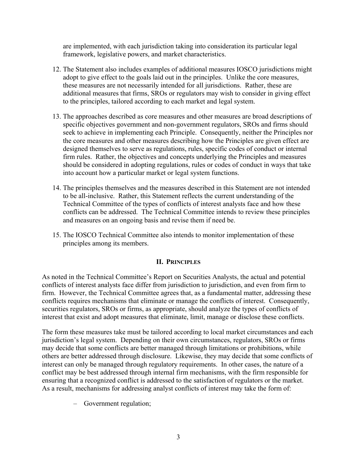are implemented, with each jurisdiction taking into consideration its particular legal framework, legislative powers, and market characteristics.

- 12. The Statement also includes examples of additional measures IOSCO jurisdictions might adopt to give effect to the goals laid out in the principles. Unlike the core measures, these measures are not necessarily intended for all jurisdictions. Rather, these are additional measures that firms, SROs or regulators may wish to consider in giving effect to the principles, tailored according to each market and legal system.
- 13. The approaches described as core measures and other measures are broad descriptions of specific objectives government and non-government regulators, SROs and firms should seek to achieve in implementing each Principle. Consequently, neither the Principles nor the core measures and other measures describing how the Principles are given effect are designed themselves to serve as regulations, rules, specific codes of conduct or internal firm rules. Rather, the objectives and concepts underlying the Principles and measures should be considered in adopting regulations, rules or codes of conduct in ways that take into account how a particular market or legal system functions.
- 14. The principles themselves and the measures described in this Statement are not intended to be all-inclusive. Rather, this Statement reflects the current understanding of the Technical Committee of the types of conflicts of interest analysts face and how these conflicts can be addressed. The Technical Committee intends to review these principles and measures on an ongoing basis and revise them if need be.
- 15. The IOSCO Technical Committee also intends to monitor implementation of these principles among its members.

#### **II. PRINCIPLES**

As noted in the Technical Committee's Report on Securities Analysts, the actual and potential conflicts of interest analysts face differ from jurisdiction to jurisdiction, and even from firm to firm. However, the Technical Committee agrees that, as a fundamental matter, addressing these conflicts requires mechanisms that eliminate or manage the conflicts of interest. Consequently, securities regulators, SROs or firms, as appropriate, should analyze the types of conflicts of interest that exist and adopt measures that eliminate, limit, manage or disclose these conflicts.

The form these measures take must be tailored according to local market circumstances and each jurisdiction's legal system. Depending on their own circumstances, regulators, SROs or firms may decide that some conflicts are better managed through limitations or prohibitions, while others are better addressed through disclosure. Likewise, they may decide that some conflicts of interest can only be managed through regulatory requirements. In other cases, the nature of a conflict may be best addressed through internal firm mechanisms, with the firm responsible for ensuring that a recognized conflict is addressed to the satisfaction of regulators or the market. As a result, mechanisms for addressing analyst conflicts of interest may take the form of:

– Government regulation;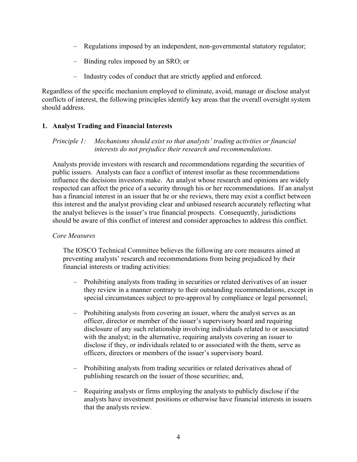- Regulations imposed by an independent, non-governmental statutory regulator;
- Binding rules imposed by an SRO; or
- Industry codes of conduct that are strictly applied and enforced.

Regardless of the specific mechanism employed to eliminate, avoid, manage or disclose analyst conflicts of interest, the following principles identify key areas that the overall oversight system should address.

# **1. Analyst Trading and Financial Interests**

*Principle 1: Mechanisms should exist so that analysts' trading activities or financial interests do not prejudice their research and recommendations.* 

Analysts provide investors with research and recommendations regarding the securities of public issuers. Analysts can face a conflict of interest insofar as these recommendations influence the decisions investors make. An analyst whose research and opinions are widely respected can affect the price of a security through his or her recommendations. If an analyst has a financial interest in an issuer that he or she reviews, there may exist a conflict between this interest and the analyst providing clear and unbiased research accurately reflecting what the analyst believes is the issuer's true financial prospects. Consequently, jurisdictions should be aware of this conflict of interest and consider approaches to address this conflict.

## *Core Measures*

The IOSCO Technical Committee believes the following are core measures aimed at preventing analysts' research and recommendations from being prejudiced by their financial interests or trading activities:

- Prohibiting analysts from trading in securities or related derivatives of an issuer they review in a manner contrary to their outstanding recommendations, except in special circumstances subject to pre-approval by compliance or legal personnel;
- Prohibiting analysts from covering an issuer, where the analyst serves as an officer, director or member of the issuer's supervisory board and requiring disclosure of any such relationship involving individuals related to or associated with the analyst; in the alternative, requiring analysts covering an issuer to disclose if they, or individuals related to or associated with the them, serve as officers, directors or members of the issuer's supervisory board.
- Prohibiting analysts from trading securities or related derivatives ahead of publishing research on the issuer of those securities; and,
- Requiring analysts or firms employing the analysts to publicly disclose if the analysts have investment positions or otherwise have financial interests in issuers that the analysts review.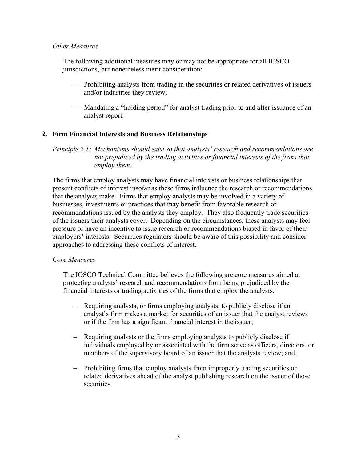### *Other Measures*

The following additional measures may or may not be appropriate for all IOSCO jurisdictions, but nonetheless merit consideration:

- Prohibiting analysts from trading in the securities or related derivatives of issuers and/or industries they review;
- Mandating a "holding period" for analyst trading prior to and after issuance of an analyst report.

## **2. Firm Financial Interests and Business Relationships**

*Principle 2.1: Mechanisms should exist so that analysts' research and recommendations are not prejudiced by the trading activities or financial interests of the firms that employ them.* 

The firms that employ analysts may have financial interests or business relationships that present conflicts of interest insofar as these firms influence the research or recommendations that the analysts make. Firms that employ analysts may be involved in a variety of businesses, investments or practices that may benefit from favorable research or recommendations issued by the analysts they employ. They also frequently trade securities of the issuers their analysts cover. Depending on the circumstances, these analysts may feel pressure or have an incentive to issue research or recommendations biased in favor of their employers' interests. Securities regulators should be aware of this possibility and consider approaches to addressing these conflicts of interest.

## *Core Measures*

The IOSCO Technical Committee believes the following are core measures aimed at protecting analysts' research and recommendations from being prejudiced by the financial interests or trading activities of the firms that employ the analysts:

- Requiring analysts, or firms employing analysts, to publicly disclose if an analyst's firm makes a market for securities of an issuer that the analyst reviews or if the firm has a significant financial interest in the issuer;
- Requiring analysts or the firms employing analysts to publicly disclose if individuals employed by or associated with the firm serve as officers, directors, or members of the supervisory board of an issuer that the analysts review; and,
- Prohibiting firms that employ analysts from improperly trading securities or related derivatives ahead of the analyst publishing research on the issuer of those securities.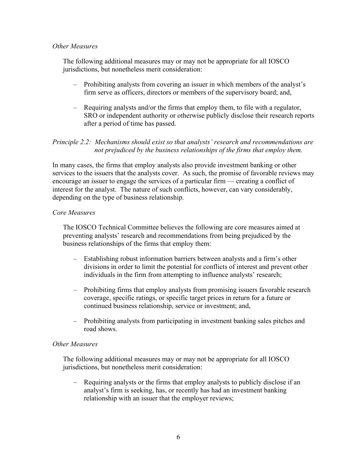### *Other Measures*

The following additional measures may or may not be appropriate for all IOSCO jurisdictions, but nonetheless merit consideration:

- Prohibiting analysts from covering an issuer in which members of the analyst's firm serve as officers, directors or members of the supervisory board; and,
- Requiring analysts and/or the firms that employ them, to file with a regulator, SRO or independent authority or otherwise publicly disclose their research reports after a period of time has passed.

## *Principle 2.2: Mechanisms should exist so that analysts' research and recommendations are not prejudiced by the business relationships of the firms that employ them.*

In many cases, the firms that employ analysts also provide investment banking or other services to the issuers that the analysts cover. As such, the promise of favorable reviews may encourage an issuer to engage the services of a particular firm — creating a conflict of interest for the analyst. The nature of such conflicts, however, can vary considerably, depending on the type of business relationship.

## *Core Measures*

The IOSCO Technical Committee believes the following are core measures aimed at preventing analysts' research and recommendations from being prejudiced by the business relationships of the firms that employ them:

- Establishing robust information barriers between analysts and a firm's other divisions in order to limit the potential for conflicts of interest and prevent other individuals in the firm from attempting to influence analysts' research;
- Prohibiting firms that employ analysts from promising issuers favorable research coverage, specific ratings, or specific target prices in return for a future or continued business relationship, service or investment; and,
- Prohibiting analysts from participating in investment banking sales pitches and road shows.

#### *Other Measures*

The following additional measures may or may not be appropriate for all IOSCO jurisdictions, but nonetheless merit consideration:

– Requiring analysts or the firms that employ analysts to publicly disclose if an analyst's firm is seeking, has, or recently has had an investment banking relationship with an issuer that the employer reviews;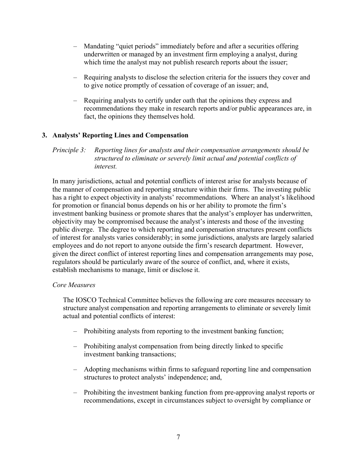- Mandating "quiet periods" immediately before and after a securities offering underwritten or managed by an investment firm employing a analyst, during which time the analyst may not publish research reports about the issuer;
- Requiring analysts to disclose the selection criteria for the issuers they cover and to give notice promptly of cessation of coverage of an issuer; and,
- Requiring analysts to certify under oath that the opinions they express and recommendations they make in research reports and/or public appearances are, in fact, the opinions they themselves hold.

# **3. Analysts' Reporting Lines and Compensation**

### *Principle 3: Reporting lines for analysts and their compensation arrangements should be structured to eliminate or severely limit actual and potential conflicts of interest.*

In many jurisdictions, actual and potential conflicts of interest arise for analysts because of the manner of compensation and reporting structure within their firms. The investing public has a right to expect objectivity in analysts' recommendations. Where an analyst's likelihood for promotion or financial bonus depends on his or her ability to promote the firm's investment banking business or promote shares that the analyst's employer has underwritten, objectivity may be compromised because the analyst's interests and those of the investing public diverge. The degree to which reporting and compensation structures present conflicts of interest for analysts varies considerably; in some jurisdictions, analysts are largely salaried employees and do not report to anyone outside the firm's research department. However, given the direct conflict of interest reporting lines and compensation arrangements may pose, regulators should be particularly aware of the source of conflict, and, where it exists, establish mechanisms to manage, limit or disclose it.

#### *Core Measures*

The IOSCO Technical Committee believes the following are core measures necessary to structure analyst compensation and reporting arrangements to eliminate or severely limit actual and potential conflicts of interest:

- Prohibiting analysts from reporting to the investment banking function;
- Prohibiting analyst compensation from being directly linked to specific investment banking transactions;
- Adopting mechanisms within firms to safeguard reporting line and compensation structures to protect analysts' independence; and,
- Prohibiting the investment banking function from pre-approving analyst reports or recommendations, except in circumstances subject to oversight by compliance or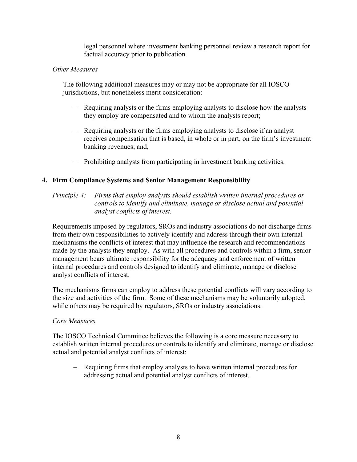legal personnel where investment banking personnel review a research report for factual accuracy prior to publication.

### *Other Measures*

The following additional measures may or may not be appropriate for all IOSCO jurisdictions, but nonetheless merit consideration:

- Requiring analysts or the firms employing analysts to disclose how the analysts they employ are compensated and to whom the analysts report;
- Requiring analysts or the firms employing analysts to disclose if an analyst receives compensation that is based, in whole or in part, on the firm's investment banking revenues; and,
- Prohibiting analysts from participating in investment banking activities.

## **4. Firm Compliance Systems and Senior Management Responsibility**

### *Principle 4: Firms that employ analysts should establish written internal procedures or controls to identify and eliminate, manage or disclose actual and potential analyst conflicts of interest.*

Requirements imposed by regulators, SROs and industry associations do not discharge firms from their own responsibilities to actively identify and address through their own internal mechanisms the conflicts of interest that may influence the research and recommendations made by the analysts they employ. As with all procedures and controls within a firm, senior management bears ultimate responsibility for the adequacy and enforcement of written internal procedures and controls designed to identify and eliminate, manage or disclose analyst conflicts of interest.

The mechanisms firms can employ to address these potential conflicts will vary according to the size and activities of the firm. Some of these mechanisms may be voluntarily adopted, while others may be required by regulators, SROs or industry associations.

## *Core Measures*

The IOSCO Technical Committee believes the following is a core measure necessary to establish written internal procedures or controls to identify and eliminate, manage or disclose actual and potential analyst conflicts of interest:

– Requiring firms that employ analysts to have written internal procedures for addressing actual and potential analyst conflicts of interest.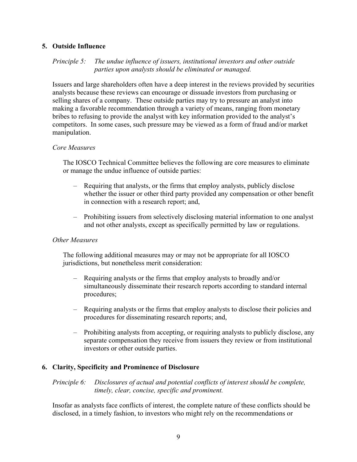## **5. Outside Influence**

## *Principle 5: The undue influence of issuers, institutional investors and other outside parties upon analysts should be eliminated or managed.*

Issuers and large shareholders often have a deep interest in the reviews provided by securities analysts because these reviews can encourage or dissuade investors from purchasing or selling shares of a company. These outside parties may try to pressure an analyst into making a favorable recommendation through a variety of means, ranging from monetary bribes to refusing to provide the analyst with key information provided to the analyst's competitors. In some cases, such pressure may be viewed as a form of fraud and/or market manipulation.

### *Core Measures*

The IOSCO Technical Committee believes the following are core measures to eliminate or manage the undue influence of outside parties:

- Requiring that analysts, or the firms that employ analysts, publicly disclose whether the issuer or other third party provided any compensation or other benefit in connection with a research report; and,
- Prohibiting issuers from selectively disclosing material information to one analyst and not other analysts, except as specifically permitted by law or regulations.

## *Other Measures*

The following additional measures may or may not be appropriate for all IOSCO jurisdictions, but nonetheless merit consideration:

- Requiring analysts or the firms that employ analysts to broadly and/or simultaneously disseminate their research reports according to standard internal procedures;
- Requiring analysts or the firms that employ analysts to disclose their policies and procedures for disseminating research reports; and,
- Prohibiting analysts from accepting, or requiring analysts to publicly disclose, any separate compensation they receive from issuers they review or from institutional investors or other outside parties.

## **6. Clarity, Specificity and Prominence of Disclosure**

*Principle 6: Disclosures of actual and potential conflicts of interest should be complete, timely, clear, concise, specific and prominent.* 

Insofar as analysts face conflicts of interest, the complete nature of these conflicts should be disclosed, in a timely fashion, to investors who might rely on the recommendations or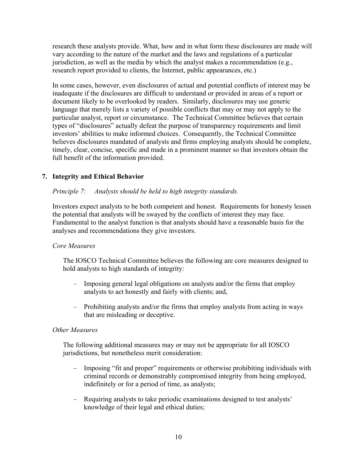research these analysts provide. What, how and in what form these disclosures are made will vary according to the nature of the market and the laws and regulations of a particular jurisdiction, as well as the media by which the analyst makes a recommendation (e.g., research report provided to clients, the Internet, public appearances, etc.)

In some cases, however, even disclosures of actual and potential conflicts of interest may be inadequate if the disclosures are difficult to understand or provided in areas of a report or document likely to be overlooked by readers. Similarly, disclosures may use generic language that merely lists a variety of possible conflicts that may or may not apply to the particular analyst, report or circumstance. The Technical Committee believes that certain types of "disclosures" actually defeat the purpose of transparency requirements and limit investors' abilities to make informed choices. Consequently, the Technical Committee believes disclosures mandated of analysts and firms employing analysts should be complete, timely, clear, concise, specific and made in a prominent manner so that investors obtain the full benefit of the information provided.

# **7. Integrity and Ethical Behavior**

## *Principle 7: Analysts should be held to high integrity standards.*

Investors expect analysts to be both competent and honest. Requirements for honesty lessen the potential that analysts will be swayed by the conflicts of interest they may face. Fundamental to the analyst function is that analysts should have a reasonable basis for the analyses and recommendations they give investors.

## *Core Measures*

The IOSCO Technical Committee believes the following are core measures designed to hold analysts to high standards of integrity:

- Imposing general legal obligations on analysts and/or the firms that employ analysts to act honestly and fairly with clients; and,
- Prohibiting analysts and/or the firms that employ analysts from acting in ways that are misleading or deceptive.

#### *Other Measures*

The following additional measures may or may not be appropriate for all IOSCO jurisdictions, but nonetheless merit consideration:

- Imposing "fit and proper" requirements or otherwise prohibiting individuals with criminal records or demonstrably compromised integrity from being employed, indefinitely or for a period of time, as analysts;
- Requiring analysts to take periodic examinations designed to test analysts' knowledge of their legal and ethical duties;